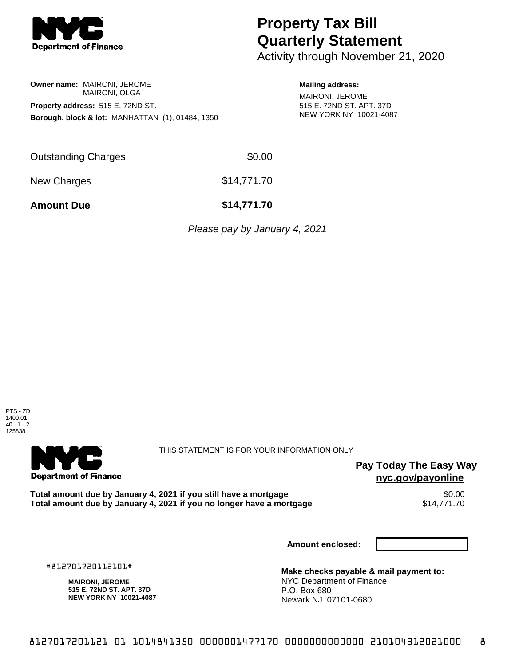

## **Property Tax Bill Quarterly Statement**

Activity through November 21, 2020

## **Owner name:** MAIRONI, JEROME MAIRONI, OLGA **Property address:** 515 E. 72ND ST.

**Mailing address:** MAIRONI, JEROME 515 E. 72ND ST. APT. 37D NEW YORK NY 10021-4087

| <b>Outstanding Charges</b> | \$0.00      |
|----------------------------|-------------|
| New Charges                | \$14,771.70 |

**Borough, block & lot:** MANHATTAN (1), 01484, 1350

**Amount Due \$14,771.70**

Please pay by January 4, 2021



. . . . . . . . . . . . . . . .

**Department of Finance** 

. . . . . . . . . . . . . .

THIS STATEMENT IS FOR YOUR INFORMATION ONLY

**Pay Today The Easy Way nyc.gov/payonline**

Total amount due by January 4, 2021 if you still have a mortgage **\$0.00** \$0.00<br>Total amount due by January 4, 2021 if you no longer have a mortgage **\$14.771.70** Total amount due by January 4, 2021 if you no longer have a mortgage

**Amount enclosed:**

#812701720112101#

**MAIRONI, JEROME 515 E. 72ND ST. APT. 37D NEW YORK NY 10021-4087**

**Make checks payable & mail payment to:** NYC Department of Finance P.O. Box 680 Newark NJ 07101-0680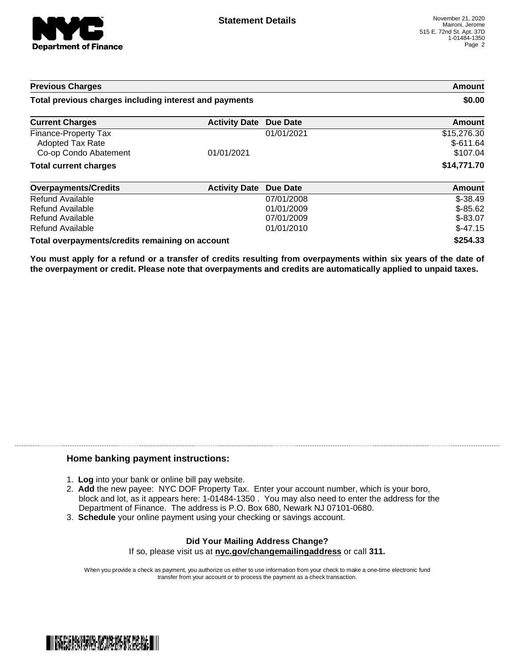

| <b>Previous Charges</b>                                |                               | Amount<br>\$0.00 |               |
|--------------------------------------------------------|-------------------------------|------------------|---------------|
| Total previous charges including interest and payments |                               |                  |               |
| <b>Current Charges</b>                                 | <b>Activity Date Due Date</b> |                  | <b>Amount</b> |
| Finance-Property Tax                                   |                               | 01/01/2021       | \$15,276.30   |
| <b>Adopted Tax Rate</b>                                |                               |                  | $$-611.64$    |
| Co-op Condo Abatement                                  | 01/01/2021                    |                  | \$107.04      |
| <b>Total current charges</b>                           |                               |                  | \$14,771.70   |
| Overnayments/Credits                                   | <b>Activity Date Due Date</b> |                  | Amount        |

| <b>Overpayments/Credits</b>                     | <b>Activity Date Due Date</b> |            | Amount     |
|-------------------------------------------------|-------------------------------|------------|------------|
| Refund Available                                |                               | 07/01/2008 | $$-38.49$  |
| Refund Available                                |                               | 01/01/2009 | $$ -85.62$ |
| Refund Available                                |                               | 07/01/2009 | $$ -83.07$ |
| Refund Available                                |                               | 01/01/2010 | $$-47.15$  |
| Total overpayments/credits remaining on account |                               | \$254.33   |            |

You must apply for a refund or a transfer of credits resulting from overpayments within six years of the date of **the overpayment or credit. Please note that overpayments and credits are automatically applied to unpaid taxes.**

## **Home banking payment instructions:**

- 1. **Log** into your bank or online bill pay website.
- 2. **Add** the new payee: NYC DOF Property Tax. Enter your account number, which is your boro, block and lot, as it appears here: 1-01484-1350 . You may also need to enter the address for the Department of Finance. The address is P.O. Box 680, Newark NJ 07101-0680.
- 3. **Schedule** your online payment using your checking or savings account.

## **Did Your Mailing Address Change?** If so, please visit us at **nyc.gov/changemailingaddress** or call **311.**

When you provide a check as payment, you authorize us either to use information from your check to make a one-time electronic fund transfer from your account or to process the payment as a check transaction.